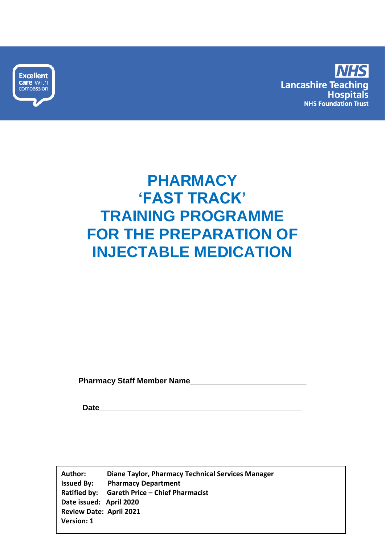



# **PHARMACY 'FAST TRACK' TRAINING PROGRAMME FOR THE PREPARATION OF INJECTABLE MEDICATION**

 **Pharmacy Staff Member Name\_\_\_\_\_\_\_\_\_\_\_\_\_\_\_\_\_\_\_\_\_\_\_\_\_\_\_**

**Date\_\_\_\_\_\_\_\_\_\_\_\_\_\_\_\_\_\_\_\_\_\_\_\_\_\_\_\_\_\_\_\_\_\_\_\_\_\_\_\_\_\_\_\_\_\_\_**

**Author: Diane Taylor, Pharmacy Technical Services Manager Issued By: Pharmacy Department Ratified by: Gareth Price – Chief Pharmacist Date issued: April 2020 Review Date: April 2021 Version: 1**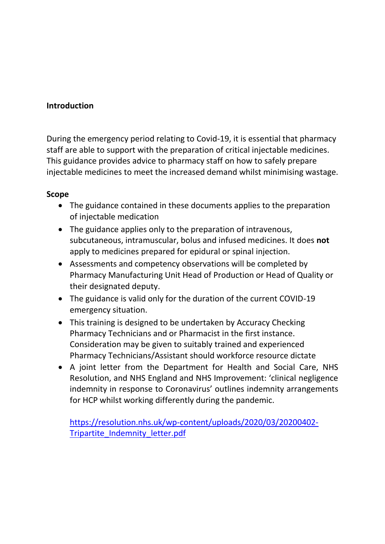#### **Introduction**

During the emergency period relating to Covid-19, it is essential that pharmacy staff are able to support with the preparation of critical injectable medicines. This guidance provides advice to pharmacy staff on how to safely prepare injectable medicines to meet the increased demand whilst minimising wastage.

#### **Scope**

- The guidance contained in these documents applies to the preparation of injectable medication
- The guidance applies only to the preparation of intravenous, subcutaneous, intramuscular, bolus and infused medicines. It does **not**  apply to medicines prepared for epidural or spinal injection.
- Assessments and competency observations will be completed by Pharmacy Manufacturing Unit Head of Production or Head of Quality or their designated deputy.
- The guidance is valid only for the duration of the current COVID-19 emergency situation.
- This training is designed to be undertaken by Accuracy Checking Pharmacy Technicians and or Pharmacist in the first instance. Consideration may be given to suitably trained and experienced Pharmacy Technicians/Assistant should workforce resource dictate
- A joint letter from the Department for Health and Social Care, NHS Resolution, and NHS England and NHS Improvement: 'clinical negligence indemnity in response to Coronavirus' outlines indemnity arrangements for HCP whilst working differently during the pandemic.

[https://resolution.nhs.uk/wp-content/uploads/2020/03/20200402-](https://resolution.nhs.uk/wp-content/uploads/2020/03/20200402-Tripartite_Indemnity_letter.pdf) [Tripartite\\_Indemnity\\_letter.pdf](https://resolution.nhs.uk/wp-content/uploads/2020/03/20200402-Tripartite_Indemnity_letter.pdf)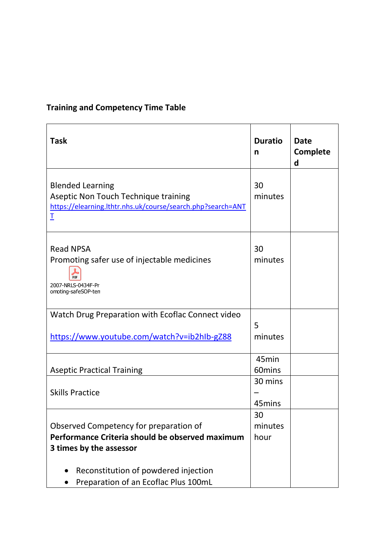# **Training and Competency Time Table**

| <b>Task</b>                                                                                                                         | <b>Duratio</b><br>n        | <b>Date</b><br><b>Complete</b><br>d |
|-------------------------------------------------------------------------------------------------------------------------------------|----------------------------|-------------------------------------|
| <b>Blended Learning</b><br>Aseptic Non Touch Technique training<br>https://elearning.lthtr.nhs.uk/course/search.php?search=ANT<br>I | 30<br>minutes              |                                     |
| <b>Read NPSA</b><br>Promoting safer use of injectable medicines<br>PDF<br>2007-NRLS-0434F-Pr<br>omoting-safeSOP-ten                 | 30<br>minutes              |                                     |
| Watch Drug Preparation with Ecoflac Connect video<br>https://www.youtube.com/watch?v=ib2hIb-gZ88                                    | 5<br>minutes               |                                     |
| <b>Aseptic Practical Training</b>                                                                                                   | 45min<br>60mins<br>30 mins |                                     |
| <b>Skills Practice</b><br>Observed Competency for preparation of                                                                    | 45mins<br>30<br>minutes    |                                     |
| Performance Criteria should be observed maximum<br>3 times by the assessor                                                          | hour                       |                                     |
| Reconstitution of powdered injection<br>Preparation of an Ecoflac Plus 100mL                                                        |                            |                                     |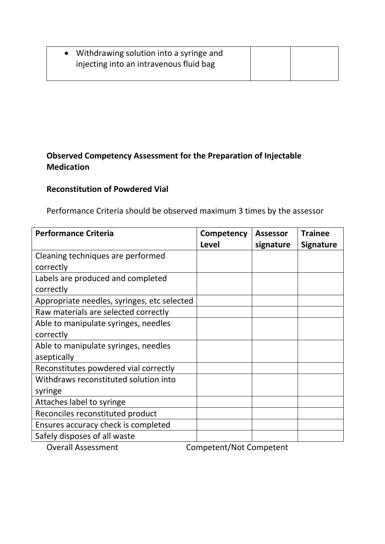| • Withdrawing solution into a syringe and |  |
|-------------------------------------------|--|
| injecting into an intravenous fluid bag   |  |
|                                           |  |

## **Observed Competency Assessment for the Preparation of Injectable Medication**

## **Reconstitution of Powdered Vial**

Performance Criteria should be observed maximum 3 times by the assessor

| <b>Performance Criteria</b>                 | Competency                             | <b>Assessor</b> | <b>Trainee</b>   |
|---------------------------------------------|----------------------------------------|-----------------|------------------|
|                                             | <b>Level</b>                           | signature       | <b>Signature</b> |
| Cleaning techniques are performed           |                                        |                 |                  |
| correctly                                   |                                        |                 |                  |
| Labels are produced and completed           |                                        |                 |                  |
| correctly                                   |                                        |                 |                  |
| Appropriate needles, syringes, etc selected |                                        |                 |                  |
| Raw materials are selected correctly        |                                        |                 |                  |
| Able to manipulate syringes, needles        |                                        |                 |                  |
| correctly                                   |                                        |                 |                  |
| Able to manipulate syringes, needles        |                                        |                 |                  |
| aseptically                                 |                                        |                 |                  |
| Reconstitutes powdered vial correctly       |                                        |                 |                  |
| Withdraws reconstituted solution into       |                                        |                 |                  |
| syringe                                     |                                        |                 |                  |
| Attaches label to syringe                   |                                        |                 |                  |
| Reconciles reconstituted product            |                                        |                 |                  |
| Ensures accuracy check is completed         |                                        |                 |                  |
| Safely disposes of all waste                |                                        |                 |                  |
| $\mathbf{H}$ and $\mathbf{H}$               | $\mathbf{r}$ $\mathbf{r}$ $\mathbf{r}$ |                 |                  |

Overall Assessment Competent/Not Competent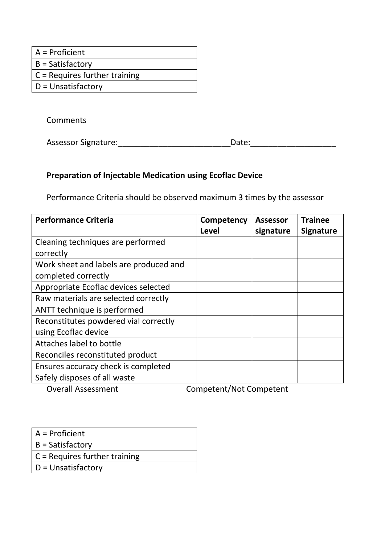- A = Proficient
- B = Satisfactory
- C = Requires further training
- D = Unsatisfactory

**Comments** 

Assessor Signature:\_\_\_\_\_\_\_\_\_\_\_\_\_\_\_\_\_\_\_\_\_\_\_\_\_\_\_\_\_\_\_\_\_\_\_Date:\_\_\_\_\_\_\_\_\_\_\_\_\_\_\_\_\_\_\_\_\_

#### **Preparation of Injectable Medication using Ecoflac Device**

Performance Criteria should be observed maximum 3 times by the assessor

| <b>Performance Criteria</b>            | Competency<br>Level | <b>Assessor</b><br>signature | <b>Trainee</b><br><b>Signature</b> |
|----------------------------------------|---------------------|------------------------------|------------------------------------|
| Cleaning techniques are performed      |                     |                              |                                    |
| correctly                              |                     |                              |                                    |
| Work sheet and labels are produced and |                     |                              |                                    |
| completed correctly                    |                     |                              |                                    |
| Appropriate Ecoflac devices selected   |                     |                              |                                    |
| Raw materials are selected correctly   |                     |                              |                                    |
| ANTT technique is performed            |                     |                              |                                    |
| Reconstitutes powdered vial correctly  |                     |                              |                                    |
| using Ecoflac device                   |                     |                              |                                    |
| Attaches label to bottle               |                     |                              |                                    |
| Reconciles reconstituted product       |                     |                              |                                    |
| Ensures accuracy check is completed    |                     |                              |                                    |
| Safely disposes of all waste           |                     |                              |                                    |
|                                        |                     |                              |                                    |

Overall Assessment Competent/Not Competent

- A = Proficient
- B = Satisfactory
- C = Requires further training
- D = Unsatisfactory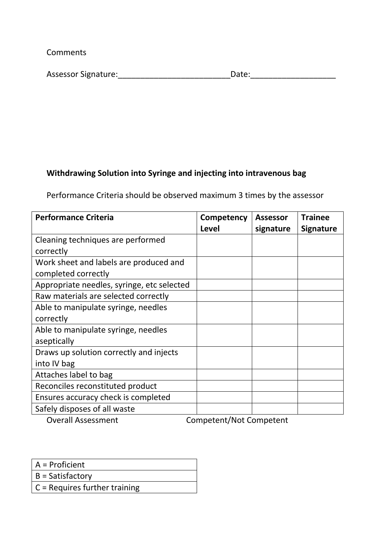**Comments** 

| <b>Assessor Signature:</b><br>Date: |  |
|-------------------------------------|--|
|-------------------------------------|--|

## **Withdrawing Solution into Syringe and injecting into intravenous bag**

Performance Criteria should be observed maximum 3 times by the assessor

| <b>Performance Criteria</b>                                                                                                                        | Competency<br><b>Level</b> | <b>Assessor</b><br>signature | <b>Trainee</b><br><b>Signature</b> |
|----------------------------------------------------------------------------------------------------------------------------------------------------|----------------------------|------------------------------|------------------------------------|
| Cleaning techniques are performed                                                                                                                  |                            |                              |                                    |
| correctly                                                                                                                                          |                            |                              |                                    |
| Work sheet and labels are produced and                                                                                                             |                            |                              |                                    |
| completed correctly                                                                                                                                |                            |                              |                                    |
| Appropriate needles, syringe, etc selected                                                                                                         |                            |                              |                                    |
| Raw materials are selected correctly                                                                                                               |                            |                              |                                    |
| Able to manipulate syringe, needles                                                                                                                |                            |                              |                                    |
| correctly                                                                                                                                          |                            |                              |                                    |
| Able to manipulate syringe, needles                                                                                                                |                            |                              |                                    |
| aseptically                                                                                                                                        |                            |                              |                                    |
| Draws up solution correctly and injects                                                                                                            |                            |                              |                                    |
| into IV bag                                                                                                                                        |                            |                              |                                    |
| Attaches label to bag                                                                                                                              |                            |                              |                                    |
| Reconciles reconstituted product                                                                                                                   |                            |                              |                                    |
| Ensures accuracy check is completed                                                                                                                |                            |                              |                                    |
| Safely disposes of all waste                                                                                                                       |                            |                              |                                    |
| $\bigcap_{x\in\mathbb{R}}$ and $\bigcup_{x\in\mathbb{R}}$ $\bigcap_{x\in\mathbb{R}}$ and $\bigcap_{x\in\mathbb{R}}$ and $\bigcap_{x\in\mathbb{R}}$ | $C = \frac{1}{2}$          |                              |                                    |

Overall Assessment Competent/Not Competent

- A = Proficient
- B = Satisfactory
- C = Requires further training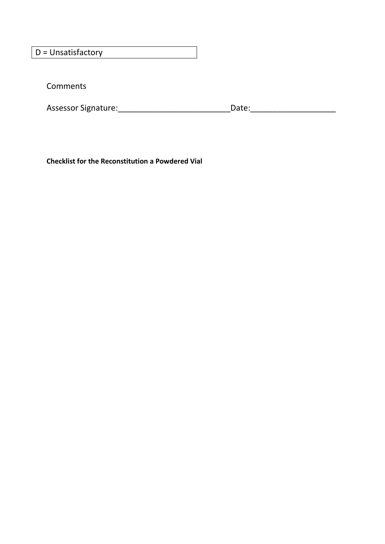D = Unsatisfactory

Comments

Assessor Signature:\_\_\_\_\_\_\_\_\_\_\_\_\_\_\_\_\_\_\_\_\_\_\_\_\_\_\_\_\_\_\_\_\_\_\_Date:\_\_\_\_\_\_\_\_\_\_\_\_\_\_\_\_\_\_\_\_\_

**Checklist for the Reconstitution a Powdered Vial**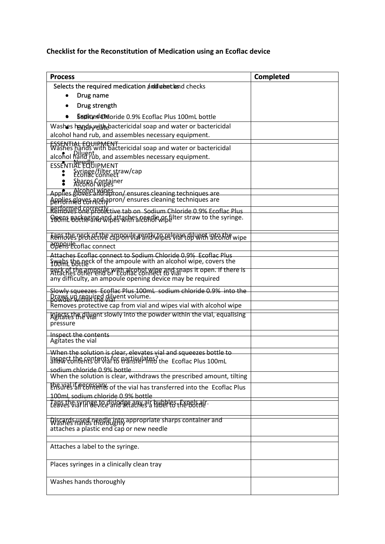# **Checklist for the Reconstitution of Medication using an Ecoflac device**

| <b>Process</b>                                                                                                                    | <b>Completed</b> |
|-----------------------------------------------------------------------------------------------------------------------------------|------------------|
| Selects the required medication and undertland checks                                                                             |                  |
| Drug name                                                                                                                         |                  |
| Drug strength                                                                                                                     |                  |
| <b>Sopinned atdoride 0.9% Ecoflac Plus 100mL bottle</b>                                                                           |                  |
| Washes hand pwith bactericidal soap and water or bactericidal                                                                     |                  |
| alcohol hand rub, and assembles necessary equipment.                                                                              |                  |
| ESSENTIAL EQUIPMENT<br>Washes hands with bactericidal soap and water or bactericidal                                              |                  |
| alcohol hand rub, and assembles necessary equipment.                                                                              |                  |
| <b>ESSENTINE ENGINEMENT</b>                                                                                                       |                  |
| Syringe/filter straw/cap                                                                                                          |                  |
| Sharps Container<br>Alcohol wipes                                                                                                 |                  |
| Applies alcohol wines on/ ensures cleaning techniques are                                                                         |                  |
| Applies elgyes and apron/ensures cleaning techniques are                                                                          |                  |
| REHOUPS OF FOTO Live tab on Sodium Chloride 0.9% Ecoflac Plus                                                                     |                  |
| Poon Borkesin and attaches readle optiter straw to the syringe.                                                                   |                  |
| Ransdues Brokettive expronus a suitable crane of work into the wipe                                                               |                  |
| <b>ODPRY</b> Ecoflac connect                                                                                                      |                  |
| Attaches Ecoflac connect to Sodium Chloride 0.9% Ecoflac Plus                                                                     |                  |
| Swabs the neck of the ampoule with an alcohol wipe, covers the                                                                    |                  |
| neck of the ampoule with alcohol wipe and anaps it open. If there is<br>any difficulty, an ampoule opening device may be required |                  |
|                                                                                                                                   |                  |
| Slowly squeezes Ecoflac Plus 100mL sodium chloride 0.9% into the<br>Draws up required diluent volume.                             |                  |
| Removes protective cap from vial and wipes vial with alcohol wipe                                                                 |                  |
| kunsteeding all and will meet within the vial, equalising<br>pressure                                                             |                  |
| Inspect the contents                                                                                                              |                  |
| Agitates the vial                                                                                                                 |                  |
| When the solution is clear, elevates vial and squeezes bottle to                                                                  |                  |
| Information of the first of the faction of the Ecofiac Plus 100mL<br>sodium chloride 0.9% bottle.                                 |                  |
| When the solution is clear, withdraws the prescribed amount, tilting                                                              |                  |
| Ensure line centerliks of the vial has transferred into the Ecoflac Plus                                                          |                  |
| 100mL sodium chloride 0.9% bottle<br>Labses GISVINGE REGISTO BECAUSE THE RESERVAL .                                               |                  |
|                                                                                                                                   |                  |
| Wiscards used needle into appropriate sharps container and<br>attaches a plastic end cap or new needle                            |                  |
|                                                                                                                                   |                  |
| Attaches a label to the syringe.                                                                                                  |                  |
| Places syringes in a clinically clean tray                                                                                        |                  |
| Washes hands thoroughly                                                                                                           |                  |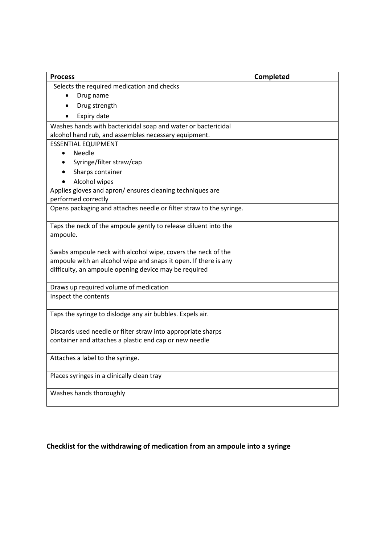| <b>Process</b>                                                      | Completed |
|---------------------------------------------------------------------|-----------|
| Selects the required medication and checks                          |           |
| Drug name                                                           |           |
| Drug strength<br>$\bullet$                                          |           |
| Expiry date                                                         |           |
| Washes hands with bactericidal soap and water or bactericidal       |           |
| alcohol hand rub, and assembles necessary equipment.                |           |
| <b>ESSENTIAL EQUIPMENT</b>                                          |           |
| Needle<br>$\bullet$                                                 |           |
| Syringe/filter straw/cap                                            |           |
| Sharps container                                                    |           |
| Alcohol wipes                                                       |           |
| Applies gloves and apron/ ensures cleaning techniques are           |           |
| performed correctly                                                 |           |
| Opens packaging and attaches needle or filter straw to the syringe. |           |
| Taps the neck of the ampoule gently to release diluent into the     |           |
| ampoule.                                                            |           |
| Swabs ampoule neck with alcohol wipe, covers the neck of the        |           |
| ampoule with an alcohol wipe and snaps it open. If there is any     |           |
| difficulty, an ampoule opening device may be required               |           |
| Draws up required volume of medication                              |           |
| Inspect the contents                                                |           |
| Taps the syringe to dislodge any air bubbles. Expels air.           |           |
| Discards used needle or filter straw into appropriate sharps        |           |
| container and attaches a plastic end cap or new needle              |           |
| Attaches a label to the syringe.                                    |           |
| Places syringes in a clinically clean tray                          |           |
| Washes hands thoroughly                                             |           |

# **Checklist for the withdrawing of medication from an ampoule into a syringe**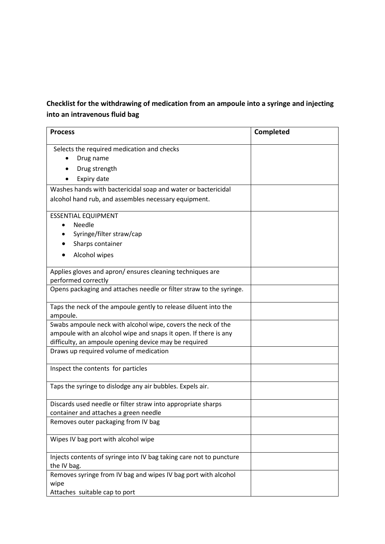### **Checklist for the withdrawing of medication from an ampoule into a syringe and injecting into an intravenous fluid bag**

| <b>Process</b>                                                                  | Completed |
|---------------------------------------------------------------------------------|-----------|
| Selects the required medication and checks                                      |           |
| Drug name                                                                       |           |
| Drug strength                                                                   |           |
| Expiry date                                                                     |           |
| Washes hands with bactericidal soap and water or bactericidal                   |           |
| alcohol hand rub, and assembles necessary equipment.                            |           |
| <b>ESSENTIAL EQUIPMENT</b>                                                      |           |
| Needle                                                                          |           |
| Syringe/filter straw/cap                                                        |           |
| Sharps container                                                                |           |
| Alcohol wipes                                                                   |           |
| Applies gloves and apron/ensures cleaning techniques are<br>performed correctly |           |
| Opens packaging and attaches needle or filter straw to the syringe.             |           |
| Taps the neck of the ampoule gently to release diluent into the<br>ampoule.     |           |
| Swabs ampoule neck with alcohol wipe, covers the neck of the                    |           |
| ampoule with an alcohol wipe and snaps it open. If there is any                 |           |
| difficulty, an ampoule opening device may be required                           |           |
| Draws up required volume of medication                                          |           |
| Inspect the contents for particles                                              |           |
| Taps the syringe to dislodge any air bubbles. Expels air.                       |           |
| Discards used needle or filter straw into appropriate sharps                    |           |
| container and attaches a green needle<br>Removes outer packaging from IV bag    |           |
|                                                                                 |           |
| Wipes IV bag port with alcohol wipe                                             |           |
| Injects contents of syringe into IV bag taking care not to puncture             |           |
| the IV bag.                                                                     |           |
| Removes syringe from IV bag and wipes IV bag port with alcohol                  |           |
| wipe<br>Attaches suitable cap to port                                           |           |
|                                                                                 |           |